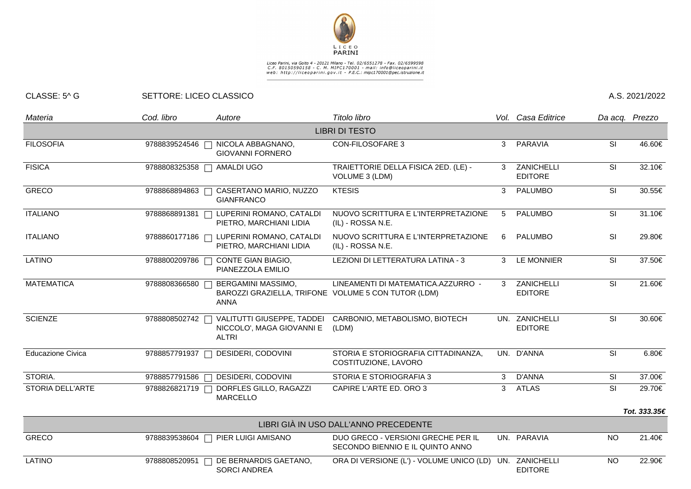

## Liceo Parini, via Goito 4 - 20121 Milano - Tel. 02/6551278 - Fax. 02/6599598<br>C.F. 80150590158 - C. M. MIPC170001 - mail: info@liceoparini.it<br>web: http://liceoparini.gov.it - P.E.C.: mipc170001@pec.istruzione.it

## CLASSE: 5^ G SETTORE: LICEO CLASSICO A.S. 2021/2022

| Materia                  | Cod. libro    | Autore                                                                                   | Titolo libro                                                           |   | Vol. Casa Editrice               |           | Da acq. Prezzo |
|--------------------------|---------------|------------------------------------------------------------------------------------------|------------------------------------------------------------------------|---|----------------------------------|-----------|----------------|
|                          |               |                                                                                          | <b>LIBRI DI TESTO</b>                                                  |   |                                  |           |                |
| <b>FILOSOFIA</b>         | 9788839524546 | NICOLA ABBAGNANO,<br><b>GIOVANNI FORNERO</b>                                             | <b>CON-FILOSOFARE 3</b>                                                | 3 | PARAVIA                          | SI        | 46.60€         |
| <b>FISICA</b>            | 9788808325358 | <b>AMALDI UGO</b>                                                                        | TRAIETTORIE DELLA FISICA 2ED. (LE) -<br>VOLUME 3 (LDM)                 | 3 | ZANICHELLI<br><b>EDITORE</b>     | SI        | 32.10€         |
| <b>GRECO</b>             | 9788868894863 | CASERTANO MARIO, NUZZO<br><b>GIANFRANCO</b>                                              | <b>KTESIS</b>                                                          | 3 | PALUMBO                          | <b>SI</b> | 30.55€         |
| <b>ITALIANO</b>          | 9788868891381 | LUPERINI ROMANO, CATALDI<br>PIETRO, MARCHIANI LIDIA                                      | NUOVO SCRITTURA E L'INTERPRETAZIONE<br>(IL) - ROSSA N.E.               | 5 | PALUMBO                          | <b>SI</b> | 31.10€         |
| <b>ITALIANO</b>          | 9788860177186 | LUPERINI ROMANO, CATALDI<br>PIETRO, MARCHIANI LIDIA                                      | NUOVO SCRITTURA E L'INTERPRETAZIONE<br>(IL) - ROSSA N.E.               | 6 | PALUMBO                          | <b>SI</b> | 29.80€         |
| <b>LATINO</b>            | 9788800209786 | CONTE GIAN BIAGIO,<br>PIANEZZOLA EMILIO                                                  | LEZIONI DI LETTERATURA LATINA - 3                                      | 3 | <b>LE MONNIER</b>                | SI        | 37.50€         |
| <b>MATEMATICA</b>        | 9788808366580 | BERGAMINI MASSIMO,<br>BAROZZI GRAZIELLA, TRIFONE VOLUME 5 CON TUTOR (LDM)<br><b>ANNA</b> | LINEAMENTI DI MATEMATICA.AZZURRO -                                     | 3 | ZANICHELLI<br><b>EDITORE</b>     | SI        | 21.60€         |
| <b>SCIENZE</b>           | 9788808502742 | VALITUTTI GIUSEPPE, TADDEI<br>NICCOLO', MAGA GIOVANNI E<br><b>ALTRI</b>                  | CARBONIO, METABOLISMO, BIOTECH<br>(LDM)                                |   | UN. ZANICHELLI<br><b>EDITORE</b> | SI        | 30.60€         |
| <b>Educazione Civica</b> | 9788857791937 | DESIDERI, CODOVINI                                                                       | STORIA E STORIOGRAFIA CITTADINANZA,<br>COSTITUZIONE, LAVORO            |   | UN. D'ANNA                       | SI        | 6.80€          |
| STORIA.                  | 9788857791586 | DESIDERI, CODOVINI                                                                       | STORIA E STORIOGRAFIA 3                                                | 3 | D'ANNA                           | SI        | 37.00€         |
| STORIA DELL'ARTE         | 9788826821719 | DORFLES GILLO, RAGAZZI<br><b>MARCELLO</b>                                                | CAPIRE L'ARTE ED. ORO 3                                                | 3 | <b>ATLAS</b>                     | SI        | 29.70€         |
|                          |               |                                                                                          |                                                                        |   |                                  |           | Tot. 333.35€   |
|                          |               |                                                                                          | LIBRI GIÀ IN USO DALL'ANNO PRECEDENTE                                  |   |                                  |           |                |
| <b>GRECO</b>             |               | 9788839538604   PIER LUIGI AMISANO                                                       | DUO GRECO - VERSIONI GRECHE PER IL<br>SECONDO BIENNIO E IL QUINTO ANNO |   | UN. PARAVIA                      | <b>NO</b> | 21.40€         |
| LATINO                   | 9788808520951 | DE BERNARDIS GAETANO,<br><b>SORCI ANDREA</b>                                             | ORA DI VERSIONE (L') - VOLUME UNICO (LD)                               |   | UN. ZANICHELLI<br><b>EDITORE</b> | <b>NO</b> | 22.90€         |